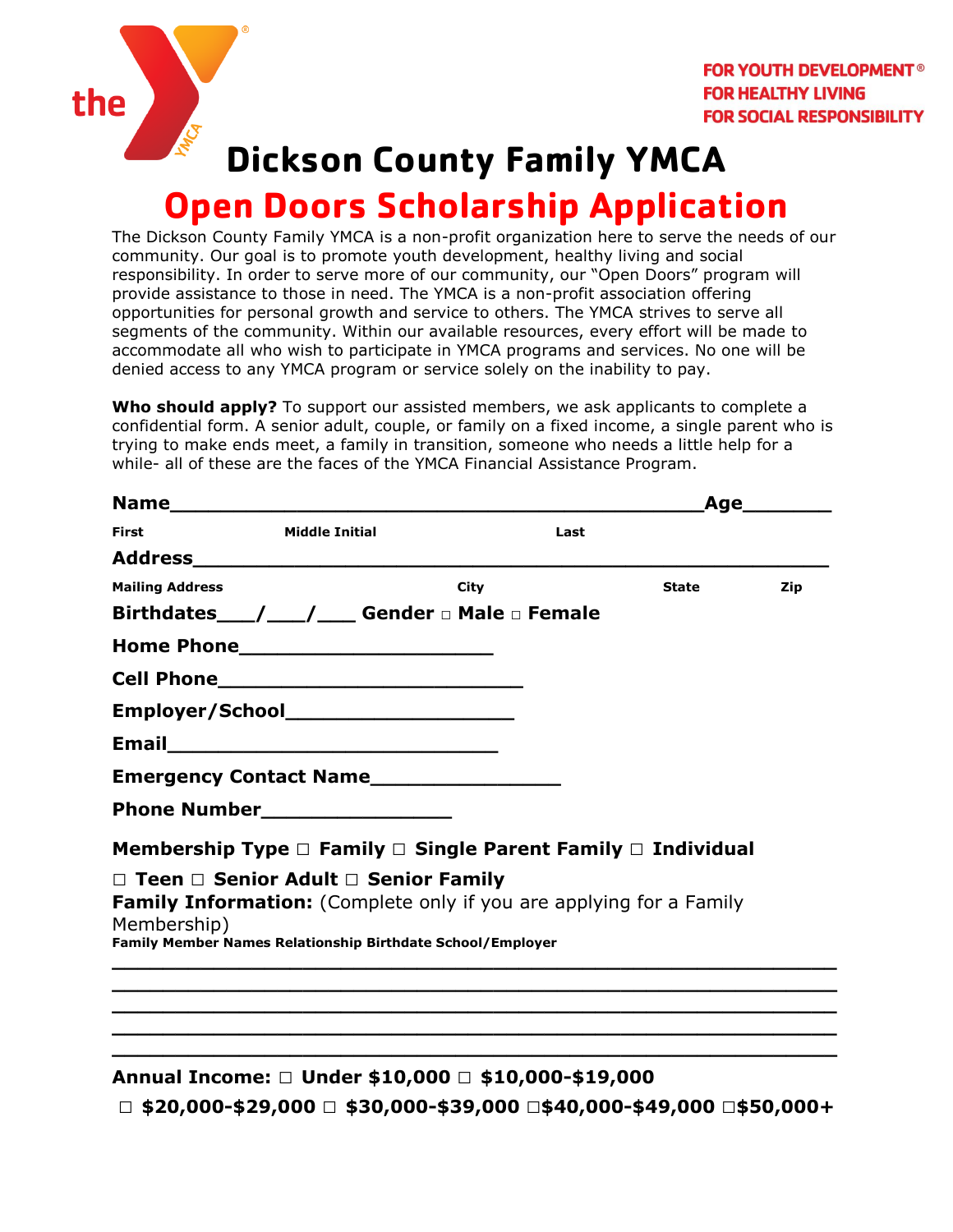

# **Dickson County Family YMCA**

## **Open Doors Scholarship Application**

The Dickson County Family YMCA is a non-profit organization here to serve the needs of our community. Our goal is to promote youth development, healthy living and social responsibility. In order to serve more of our community, our "Open Doors" program will provide assistance to those in need. The YMCA is a non-profit association offering opportunities for personal growth and service to others. The YMCA strives to serve all segments of the community. Within our available resources, every effort will be made to accommodate all who wish to participate in YMCA programs and services. No one will be denied access to any YMCA program or service solely on the inability to pay.

**Who should apply?** To support our assisted members, we ask applicants to complete a confidential form. A senior adult, couple, or family on a fixed income, a single parent who is trying to make ends meet, a family in transition, someone who needs a little help for a while- all of these are the faces of the YMCA Financial Assistance Program.

|                        |                                                                             |      | Age_________ |       |     |  |
|------------------------|-----------------------------------------------------------------------------|------|--------------|-------|-----|--|
| <b>First</b>           | <b>Middle Initial</b>                                                       |      | Last         |       |     |  |
|                        |                                                                             |      |              |       |     |  |
| <b>Mailing Address</b> |                                                                             | City |              | State | Zip |  |
|                        | Birthdates___/___/___ Gender a Male a Female                                |      |              |       |     |  |
|                        |                                                                             |      |              |       |     |  |
|                        |                                                                             |      |              |       |     |  |
|                        |                                                                             |      |              |       |     |  |
|                        |                                                                             |      |              |       |     |  |
|                        |                                                                             |      |              |       |     |  |
|                        |                                                                             |      |              |       |     |  |
|                        | Membership Type $\Box$ Family $\Box$ Single Parent Family $\Box$ Individual |      |              |       |     |  |
|                        | $\Box$ Teen $\Box$ Senior Adult $\Box$ Senior Family                        |      |              |       |     |  |
| Membership)            | Family Information: (Complete only if you are applying for a Family         |      |              |       |     |  |
|                        | Family Member Names Relationship Birthdate School/Employer                  |      |              |       |     |  |
|                        |                                                                             |      |              |       |     |  |
|                        |                                                                             |      |              |       |     |  |

#### **Annual Income: □ Under \$10,000 □ \$10,000-\$19,000**

**□ \$20,000-\$29,000 □ \$30,000-\$39,000 □\$40,000-\$49,000 □\$50,000+**

**\_\_\_\_\_\_\_\_\_\_\_\_\_\_\_\_\_\_\_\_\_\_\_\_\_\_\_\_\_\_\_\_\_\_\_\_\_\_\_\_\_\_\_\_\_\_\_\_\_\_\_\_\_\_\_\_\_ \_\_\_\_\_\_\_\_\_\_\_\_\_\_\_\_\_\_\_\_\_\_\_\_\_\_\_\_\_\_\_\_\_\_\_\_\_\_\_\_\_\_\_\_\_\_\_\_\_\_\_\_\_\_\_\_\_**